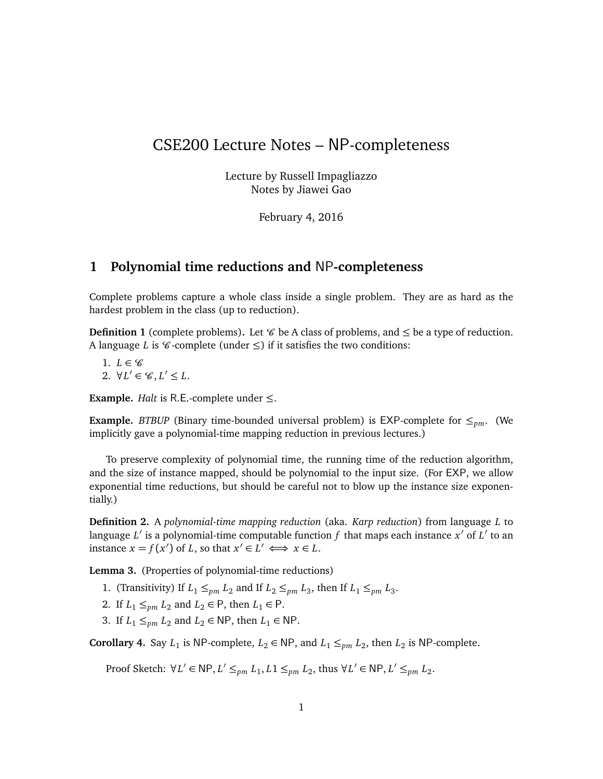# CSE200 Lecture Notes – NP-completeness

Lecture by Russell Impagliazzo Notes by Jiawei Gao

February 4, 2016

# **1 Polynomial time reductions and** NP**-completeness**

Complete problems capture a whole class inside a single problem. They are as hard as the hardest problem in the class (up to reduction).

**Definition 1** (complete problems). Let  $\mathscr{C}$  be A class of problems, and  $\leq$  be a type of reduction. A language *L* is  $\mathcal C$ -complete (under  $\leq$ ) if it satisfies the two conditions:

1.  $L \in \mathscr{C}$ 2.  $\forall L' \in \mathscr{C}, L' \leq L.$ 

**Example.** *Halt* is R.E.-complete under  $\leq$ .

**Example.** *BTBUP* (Binary time-bounded universal problem) is EXP-complete for  $\leq_{pm}$ . (We implicitly gave a polynomial-time mapping reduction in previous lectures.)

To preserve complexity of polynomial time, the running time of the reduction algorithm, and the size of instance mapped, should be polynomial to the input size. (For EXP, we allow exponential time reductions, but should be careful not to blow up the instance size exponentially.)

**Definition 2.** A *polynomial-time mapping reduction* (aka. *Karp reduction*) from language *L* to language *L'* is a polynomial-time computable function *f* that maps each instance *x'* of *L'* to an instance  $x = f(x')$  of *L*, so that  $x' \in L' \iff x \in L$ .

**Lemma 3.** (Properties of polynomial-time reductions)

- 1. (Transitivity) If  $L_1 \leq_{pm} L_2$  and If  $L_2 \leq_{pm} L_3$ , then If  $L_1 \leq_{pm} L_3$ .
- 2. If  $L_1 \leq_{pm} L_2$  and  $L_2 \in \mathsf{P}$ , then  $L_1 \in \mathsf{P}$ .
- 3. If  $L_1 \leq_{pm} L_2$  and  $L_2 \in \mathsf{NP}$ , then  $L_1 \in \mathsf{NP}$ .

**Corollary 4.** Say  $L_1$  is NP-complete,  $L_2 \in \text{NP}$ , and  $L_1 \leq_{pm} L_2$ , then  $L_2$  is NP-complete.

Proof Sketch:  $\forall L' \in \mathsf{NP}, L' \leq_{pm} L_1, L_1 \leq_{pm} L_2$ , thus  $\forall L' \in \mathsf{NP}, L' \leq_{pm} L_2$ .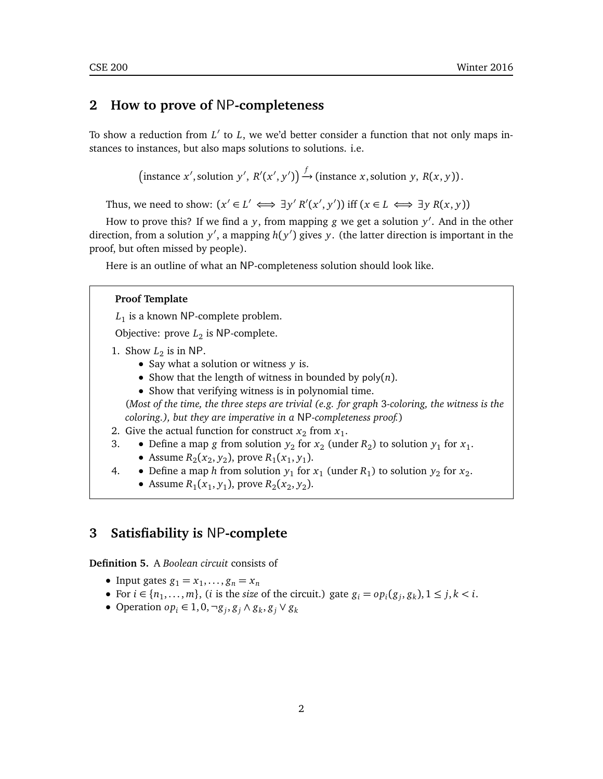# **2 How to prove of** NP**-completeness**

To show a reduction from L' to L, we we'd better consider a function that not only maps instances to instances, but also maps solutions to solutions. i.e.

 $\left(\text{instance } x', \text{solution } y', R'(x', y')\right) \xrightarrow{f} \left(\text{instance } x, \text{solution } y, R(x, y)\right).$ 

Thus, we need to show:  $(x' \in L' \iff \exists y' R'(x', y'))$  iff  $(x \in L \iff \exists y R(x, y))$ 

How to prove this? If we find a *y*, from mapping *g* we get a solution *y* 0 . And in the other direction, from a solution  $y'$ , a mapping  $h(y')$  gives  $y$ . (the latter direction is important in the proof, but often missed by people).

Here is an outline of what an NP-completeness solution should look like.

## **Proof Template**

*L*1 is a known NP-complete problem.

Objective: prove  $L_2$  is NP-complete.

1. Show  $L_2$  is in NP.

- Say what a solution or witness *y* is.
- Show that the length of witness in bounded by poly(*n*).
- Show that verifying witness is in polynomial time.

(*Most of the time, the three steps are trivial (e.g. for graph* 3*-coloring, the witness is the coloring.), but they are imperative in a* NP*-completeness proof.*)

- 2. Give the actual function for construct  $x_2$  from  $x_1$ .
- 3. Define a map *g* from solution  $y_2$  for  $x_2$  (under  $R_2$ ) to solution  $y_1$  for  $x_1$ .
	- Assume  $R_2(x_2, y_2)$ , prove  $R_1(x_1, y_1)$ .
- 4. Define a map *h* from solution  $y_1$  for  $x_1$  (under  $R_1$ ) to solution  $y_2$  for  $x_2$ .
	- Assume  $R_1(x_1, y_1)$ , prove  $R_2(x_2, y_2)$ .

# **3 Satisfiability is** NP**-complete**

**Definition 5.** A *Boolean circuit* consists of

- Input gates  $g_1 = x_1, \ldots, g_n = x_n$
- For  $i \in \{n_1, \ldots, m\}$ , (*i* is the *size* of the circuit.) gate  $g_i = op_i(g_j, g_k)$ ,  $1 \leq j, k < i$ .
- Operation *op<sup>i</sup>* ∈ 1, 0,¬*g<sup>j</sup>* , *g<sup>j</sup>* ∧ *g<sup>k</sup>* , *g<sup>j</sup>* ∨ *g<sup>k</sup>*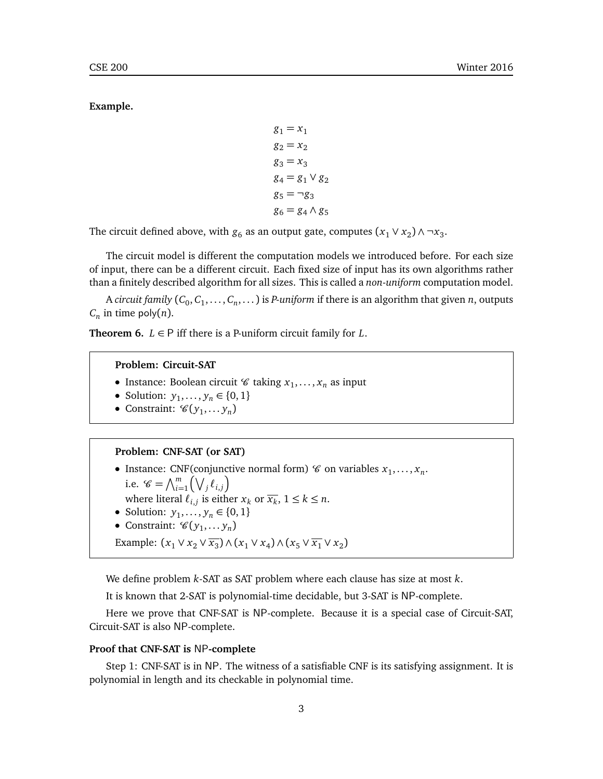**Example.**

```
g_1 = x_1g_2 = x_2g_3 = x_3g_4 = g_1 \vee g_2g_5 = \neg g_3g_6 = g_4 \wedge g_5
```
The circuit defined above, with  $g_6$  as an output gate, computes  $(x_1 \vee x_2) \wedge \neg x_3$ .

The circuit model is different the computation models we introduced before. For each size of input, there can be a different circuit. Each fixed size of input has its own algorithms rather than a finitely described algorithm for all sizes. This is called a *non-uniform* computation model.

A *circuit family*  $(C_0, C_1, \ldots, C_n, \ldots)$  *is <i>P-uniform if there is an algorithm that given <i>n*, outputs  $C_n$  in time poly $(n)$ .

**Theorem 6.**  $L \in \mathsf{P}$  iff there is a P-uniform circuit family for  $L$ .

### **Problem: Circuit-SAT**

- Instance: Boolean circuit  $\mathscr{C}$  taking  $x_1, \ldots, x_n$  as input
- Solution:  $y_1, ..., y_n \in \{0, 1\}$
- Constraint:  $\mathscr{C}(y_1,...y_n)$

### **Problem: CNF-SAT (or SAT)**

- Instance: CNF(conjunctive normal form)  $\mathcal C$  on variables  $x_1, \ldots, x_n$ .
- i.e.  $\mathscr{C} = \bigwedge_{i=1}^{m} (\bigvee_{j} \ell_{i,j})$ where literal  $\ell_{i,j}$  is either  $x_k$  or  $\overline{x_k}$ ,  $1 \leq k \leq n$ .
- Solution:  $y_1, ..., y_n \in \{0, 1\}$
- Constraint:  $\mathscr{C}(y_1,...y_n)$

Example:  $(x_1 \vee x_2 \vee \overline{x_3}) \wedge (x_1 \vee x_4) \wedge (x_5 \vee \overline{x_1} \vee x_2)$ 

We define problem *k*-SAT as SAT problem where each clause has size at most *k*.

It is known that 2-SAT is polynomial-time decidable, but 3-SAT is NP-complete.

Here we prove that CNF-SAT is NP-complete. Because it is a special case of Circuit-SAT, Circuit-SAT is also NP-complete.

## **Proof that CNF-SAT is** NP**-complete**

Step 1: CNF-SAT is in NP. The witness of a satisfiable CNF is its satisfying assignment. It is polynomial in length and its checkable in polynomial time.